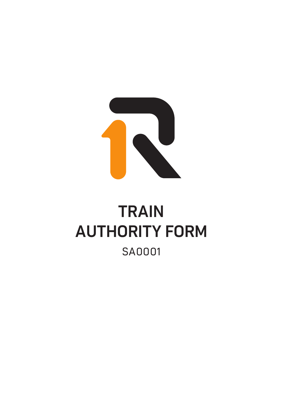

## **TRAIN** AUTHORITY FORM SA0001 **ALITHODITY EODM** ORA-FRM-06-001 **Dangerous Goods detail** Yes **Emergency contacts** Telephone ( ) Dangerous Goods placardable quantity? No Names Correct shipping name and/or trade name Class Sub UN PG Agg. nett Bulk Seg. device Packages **Total** NOTE: **If consignment includes** any **Dangerous Goods,** one only **container or wagon may be entered per Consignment Note**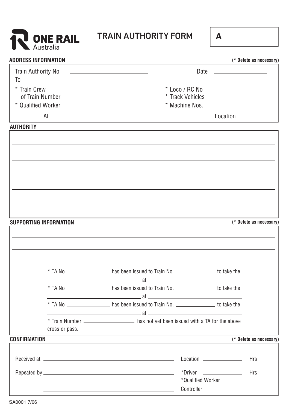

## **TRAIN AUTHORITY FORM <sup>A</sup>** TRAIN AUTHORITY FORM

| ٠ |
|---|
|   |

| <b>ADDRESS INFORMATION</b> |                |                                                                                                                                                                                                                                                                                                                             |                          |                                                           | (* Delete as necessary) |
|----------------------------|----------------|-----------------------------------------------------------------------------------------------------------------------------------------------------------------------------------------------------------------------------------------------------------------------------------------------------------------------------|--------------------------|-----------------------------------------------------------|-------------------------|
| Train Authority No         |                |                                                                                                                                                                                                                                                                                                                             | Date                     | <u> 1980 - Andrea Stadt Britain, amerikansk politik (</u> |                         |
| T <sub>0</sub>             |                |                                                                                                                                                                                                                                                                                                                             |                          |                                                           |                         |
| * Train Crew               |                |                                                                                                                                                                                                                                                                                                                             | * Loco / RC No           |                                                           |                         |
| of Train Number            |                |                                                                                                                                                                                                                                                                                                                             | * Track Vehicles         |                                                           |                         |
| * Qualified Worker         |                |                                                                                                                                                                                                                                                                                                                             | * Machine Nos.           |                                                           |                         |
|                            | At $\qquad$    | Location                                                                                                                                                                                                                                                                                                                    |                          |                                                           |                         |
| <b>AUTHORITY</b>           |                |                                                                                                                                                                                                                                                                                                                             |                          |                                                           |                         |
|                            |                |                                                                                                                                                                                                                                                                                                                             |                          |                                                           |                         |
|                            |                |                                                                                                                                                                                                                                                                                                                             |                          |                                                           |                         |
|                            |                |                                                                                                                                                                                                                                                                                                                             |                          |                                                           |                         |
|                            |                |                                                                                                                                                                                                                                                                                                                             |                          |                                                           |                         |
|                            |                |                                                                                                                                                                                                                                                                                                                             |                          |                                                           |                         |
|                            |                |                                                                                                                                                                                                                                                                                                                             |                          |                                                           |                         |
|                            |                |                                                                                                                                                                                                                                                                                                                             |                          |                                                           |                         |
| SUPPORTING INFORMATION     |                |                                                                                                                                                                                                                                                                                                                             |                          |                                                           | (* Delete as necessary) |
|                            |                |                                                                                                                                                                                                                                                                                                                             |                          |                                                           |                         |
|                            |                |                                                                                                                                                                                                                                                                                                                             |                          |                                                           |                         |
|                            |                |                                                                                                                                                                                                                                                                                                                             |                          |                                                           |                         |
|                            |                |                                                                                                                                                                                                                                                                                                                             |                          |                                                           |                         |
|                            |                | * TA No _________________ has been issued to Train No. _______________ to take the                                                                                                                                                                                                                                          |                          |                                                           |                         |
|                            |                | $\overline{\phantom{a}}$ at $\overline{\phantom{a}}$                                                                                                                                                                                                                                                                        |                          |                                                           |                         |
|                            |                | * TA No _________________ has been issued to Train No. ________________ to take the<br><u>at a contract of the state of the state of the state of the state of the state of the state of the state of the state of the state of the state of the state of the state of the state of the state of the state of the state</u> |                          |                                                           |                         |
|                            |                | * TA No __________________ has been issued to Train No. ________________ to take the                                                                                                                                                                                                                                        |                          |                                                           |                         |
|                            |                | $\overline{\phantom{a}}$ at $\overline{\phantom{a}}$                                                                                                                                                                                                                                                                        |                          |                                                           |                         |
|                            |                | * Train Number _______________________ has not yet been issued with a TA for the above                                                                                                                                                                                                                                      |                          |                                                           |                         |
|                            | cross or pass. |                                                                                                                                                                                                                                                                                                                             |                          |                                                           |                         |
| <b>CONFIRMATION</b>        |                |                                                                                                                                                                                                                                                                                                                             |                          |                                                           | (* Delete as necessary) |
|                            |                |                                                                                                                                                                                                                                                                                                                             |                          |                                                           | <b>Hrs</b>              |
|                            |                |                                                                                                                                                                                                                                                                                                                             |                          |                                                           |                         |
|                            |                |                                                                                                                                                                                                                                                                                                                             | *Driver ________________ |                                                           | <b>Hrs</b>              |
|                            |                |                                                                                                                                                                                                                                                                                                                             | *Qualified Worker        |                                                           |                         |
|                            |                |                                                                                                                                                                                                                                                                                                                             | Controller               |                                                           |                         |